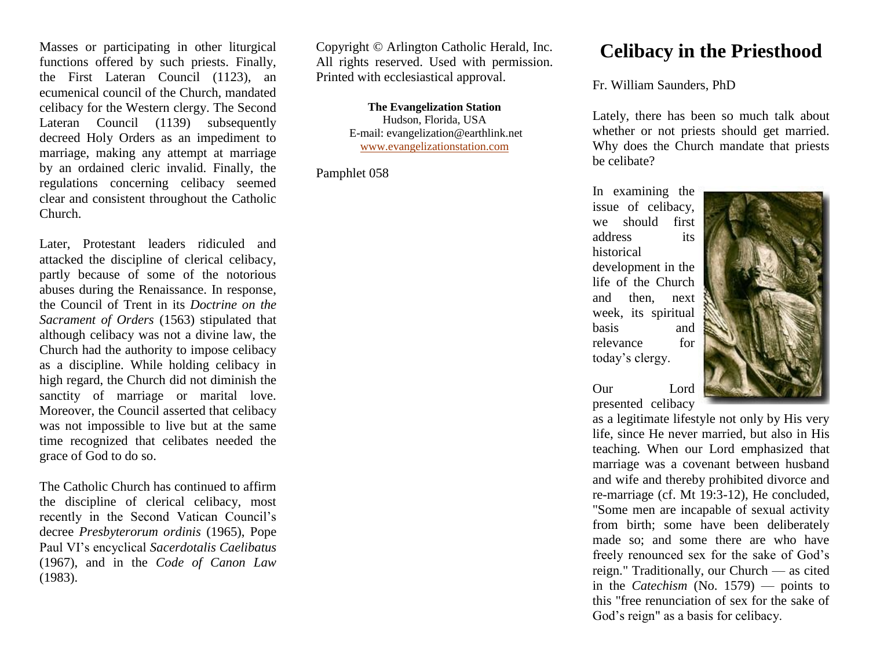Masses or participating in other liturgical functions offered by such priests. Finally, the First Lateran Council (1123), an ecumenical council of the Church, mandated celibacy for the Western clergy. The Second Lateran Council (1139) subsequently decreed Holy Orders as an impediment to marriage, making any attempt at marriage by an ordained cleric invalid. Finally, the regulations concerning celibacy seemed clear and consistent throughout the Catholic Church.

Later, Protestant leaders ridiculed and attacked the discipline of clerical celibacy, partly because of some of the notorious abuses during the Renaissance. In response, the Council of Trent in its *Doctrine on the Sacrament of Orders* (1563) stipulated that although celibacy was not a divine law, the Church had the authority to impose celibacy as a discipline. While holding celibacy in high regard, the Church did not diminish the sanctity of marriage or marital love. Moreover, the Council asserted that celibacy was not impossible to live but at the same time recognized that celibates needed the grace of God to do so.

The Catholic Church has continued to affirm the discipline of clerical celibacy, most recently in the Second Vatican Council's decree *Presbyterorum ordinis* (1965), Pope Paul VI's encyclical *Sacerdotalis Caelibatus* (1967), and in the *Code of Canon Law* (1983).

Copyright © Arlington Catholic Herald, Inc. All rights reserved. Used with permission. Printed with ecclesiastical approval.

> **The Evangelization Station** Hudson, Florida, USA E-mail: evangelization@earthlink.net [www.evangelizationstation.com](http://www.pjpiisoe.org/)

Pamphlet 058

## **Celibacy in the Priesthood**

Fr. William Saunders, PhD

Lately, there has been so much talk about whether or not priests should get married. Why does the Church mandate that priests be celibate?

In examining the issue of celibacy, we should first address its historical development in the life of the Church and then, next week, its spiritual basis and relevance for today's clergy.



Our Lord presented celibacy

as a legitimate lifestyle not only by His very life, since He never married, but also in His teaching. When our Lord emphasized that marriage was a covenant between husband and wife and thereby prohibited divorce and re-marriage (cf. Mt 19:3-12), He concluded, "Some men are incapable of sexual activity from birth; some have been deliberately made so; and some there are who have freely renounced sex for the sake of God's reign." Traditionally, our Church — as cited in the *Catechism* (No. 1579) — points to this "free renunciation of sex for the sake of God's reign" as a basis for celibacy.